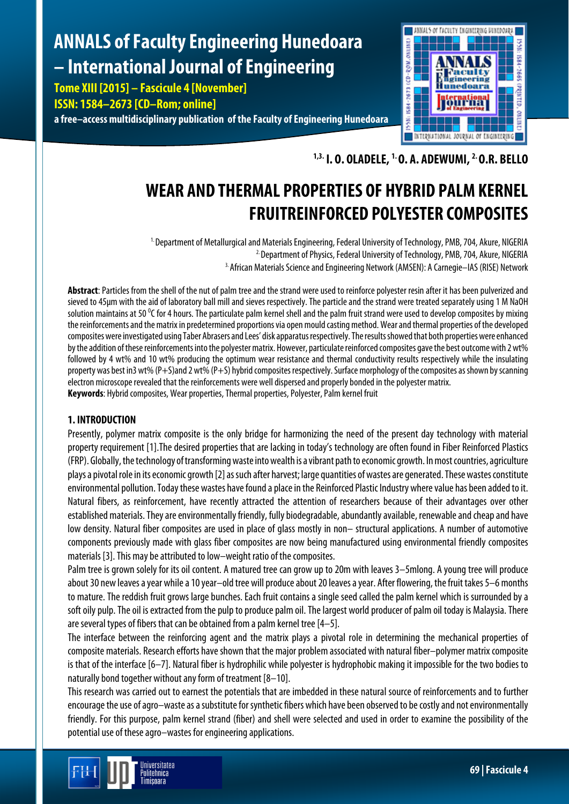# **ANNALS of Faculty Engineering Hunedoara – International Journal of Engineering**

**Tome XIII [2015] – Fascicule 4 [November] ISSN: 1584–2673 [CD–Rom; online] a free–access multidisciplinary publication of the Faculty of Engineering Hunedoara**



**1,3. I. O. OLADELE, 1. O. A. ADEWUMI, 2. O.R. BELLO**

## **WEAR AND THERMAL PROPERTIES OF HYBRID PALM KERNEL FRUITREINFORCED POLYESTER COMPOSITES**

1. Department of Metallurgical and Materials Engineering, Federal University of Technology, PMB, 704, Akure, NIGERIA <sup>2.</sup> Department of Physics, Federal University of Technology, PMB, 704, Akure, NIGERIA 3. African Materials Science and Engineering Network (AMSEN): A Carnegie–IAS (RISE) Network

**Abstract**: Particles from the shell of the nut of palm tree and the strand were used to reinforce polyester resin after it has been pulverized and sieved to 45μm with the aid of laboratory ball mill and sieves respectively. The particle and the strand were treated separately using 1 M NaOH solution maintains at 50 °C for 4 hours. The particulate palm kernel shell and the palm fruit strand were used to develop composites by mixing the reinforcements and the matrix in predetermined proportions via open mould casting method. Wear and thermal properties of the developed composites were investigated using Taber Abrasers and Lees' disk apparatus respectively.The results showed that both properties were enhanced by the addition of these reinforcements into the polyester matrix. However, particulate reinforced composites gave the best outcome with 2 wt% followed by 4 wt% and 10 wt% producing the optimum wear resistance and thermal conductivity results respectively while the insulating property was best in3 wt% (P+S)and 2 wt% (P+S) hybrid composites respectively. Surface morphology of the composites as shown by scanning electron microscope revealed that the reinforcements were well dispersed and properly bonded in the polyester matrix. **Keywords**: Hybrid composites, Wear properties, Thermal properties, Polyester, Palm kernel fruit

## **1. INTRODUCTION**

Presently, polymer matrix composite is the only bridge for harmonizing the need of the present day technology with material property requirement [1].The desired properties that are lacking in today's technology are often found in Fiber Reinforced Plastics (FRP). Globally, the technology of transforming waste into wealth is a vibrant path to economic growth. In most countries, agriculture plays a pivotal role in its economic growth [2] as such after harvest; large quantities of wastes are generated. These wastes constitute environmental pollution. Today these wastes have found a place in the Reinforced Plastic Industry where value has been added to it. Natural fibers, as reinforcement, have recently attracted the attention of researchers because of their advantages over other established materials. They are environmentally friendly, fully biodegradable, abundantly available, renewable and cheap and have low density. Natural fiber composites are used in place of glass mostly in non– structural applications. A number of automotive components previously made with glass fiber composites are now being manufactured using environmental friendly composites materials [3]. This may be attributed to low–weight ratio of the composites.

Palm tree is grown solely for its oil content. A matured tree can grow up to 20m with leaves 3–5mlong. A young tree will produce about 30 new leaves a year while a 10 year–old tree will produce about 20 leaves a year. After flowering, the fruit takes 5–6 months to mature. The reddish fruit grows large bunches. Each fruit contains a single seed called the palm kernel which is surrounded by a soft oily pulp. The oil is extracted from the pulp to produce palm oil. The largest world producer of palm oil today is Malaysia. There are several types of fibers that can be obtained from a palm kernel tree [4–5].

The interface between the reinforcing agent and the matrix plays a pivotal role in determining the mechanical properties of composite materials. Research efforts have shown that the major problem associated with natural fiber–polymer matrix composite is that of the interface [6–7]. Natural fiber is hydrophilic while polyester is hydrophobic making it impossible for the two bodies to naturally bond together without any form of treatment [8–10].

This research was carried out to earnest the potentials that are imbedded in these natural source of reinforcements and to further encourage the use of agro–waste as a substitute for synthetic fibers which have been observed to be costly and not environmentally friendly. For this purpose, palm kernel strand (fiber) and shell were selected and used in order to examine the possibility of the potential use of these agro–wastes for engineering applications.

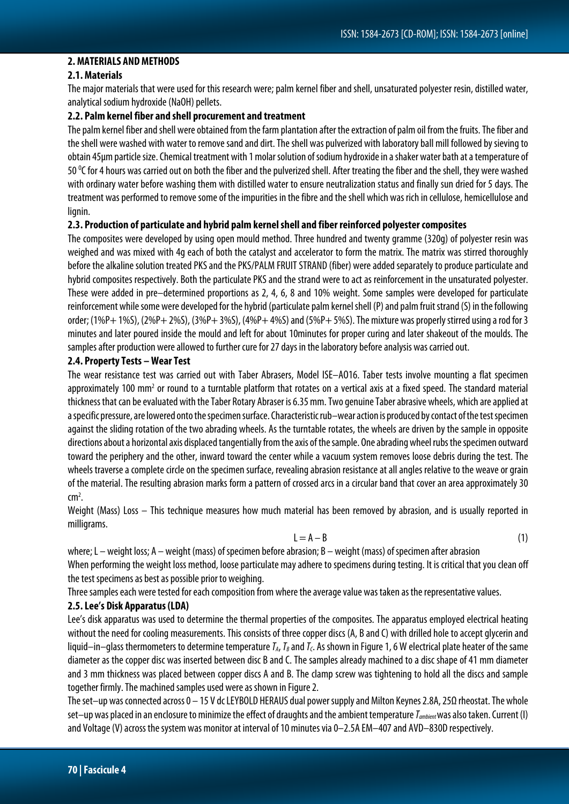#### **2. MATERIALS AND METHODS**

#### **2.1. Materials**

The major materials that were used for this research were; palm kernel fiber and shell, unsaturated polyester resin, distilled water, analytical sodium hydroxide (NaOH) pellets.

#### **2.2. Palm kernel fiber and shell procurement and treatment**

The palm kernel fiber and shell were obtained from the farm plantation after the extraction of palm oil from the fruits. The fiber and the shell were washed with water to remove sand and dirt. The shell was pulverized with laboratory ball mill followed by sieving to obtain 45μm particle size.Chemical treatment with 1 molar solution of sodium hydroxide in a shaker water bath at a temperature of 50  $\degree$ C for 4 hours was carried out on both the fiber and the pulverized shell. After treating the fiber and the shell, they were washed with ordinary water before washing them with distilled water to ensure neutralization status and finally sun dried for 5 days. The treatment was performed to remove some of theimpurities in the fibre and the shell which was rich in cellulose, hemicellulose and lianin.

#### **2.3. Production of particulate and hybrid palm kernel shell and fiber reinforced polyester composites**

The composites were developed by using open mould method. Three hundred and twenty gramme (320g) of polyester resin was weighed and was mixed with 4g each of both the catalyst and accelerator to form the matrix. The matrix was stirred thoroughly before the alkaline solution treated PKS and the PKS/PALM FRUIT STRAND (fiber) were added separately to produce particulate and hybrid composites respectively. Both the particulate PKS and the strand were to act as reinforcement in the unsaturated polyester. These were added in pre–determined proportions as 2, 4, 6, 8 and 10% weight. Some samples were developed for particulate reinforcement while some were developed for the hybrid (particulate palm kernel shell (P) and palm fruit strand (S) in the following order; (1%P+ 1%S), (2%P+ 2%S), (3%P+ 3%S), (4%P+ 4%S) and (5%P+ 5%S). The mixture was properly stirred using a rod for 3 minutes and later poured inside the mould and left for about 10minutes for proper curing and later shakeout of the moulds. The samples after production were allowed to further cure for 27 days in the laboratory before analysis was carried out.

#### **2.4. Property Tests –WearTest**

The wear resistance test was carried out with Taber Abrasers, Model ISE–AO16. Taber tests involve mounting a flat specimen approximately 100 mm<sup>2</sup> or round to a turntable platform that rotates on a vertical axis at a fixed speed. The standard material thickness that can be evaluated with the Taber Rotary Abraser is 6.35 mm. Two genuine Taber abrasive wheels, which are applied at a specific pressure, are lowered onto the specimen surface. Characteristic rub–wear action is produced by contact of the test specimen against the sliding rotation of the two abrading wheels. As the turntable rotates, the wheels are driven by the sample in opposite directions about a horizontal axis displaced tangentially from the axis of the sample. One abrading wheel rubs the specimen outward toward the periphery and the other, inward toward the center while a vacuum system removes loose debris during the test. The wheels traverse a complete circle on the specimen surface, revealing abrasion resistance at all angles relative to the weave or grain of the material. The resulting abrasion marks form a pattern of crossed arcs in a circular band that cover an area approximately 30  $cm<sup>2</sup>$ . .

Weight (Mass) Loss – This technique measures how much material has been removed by abrasion, and is usually reported in milligrams.

$$
L = A - B \tag{1}
$$

where; L – weight loss; A – weight (mass) of specimen before abrasion; B – weight (mass) of specimen after abrasion When performing the weight loss method, loose particulate may adhere to specimens during testing. It is critical that you clean off the test specimens as best as possible prior to weighing.

Three samples each were tested for each composition from where the average value was taken as the representative values.

#### **2.5. Lee's Disk Apparatus (LDA)**

Lee's disk apparatus was used to determine the thermal properties of the composites. The apparatus employed electrical heating without the need for cooling measurements. This consists of three copper discs (A, B and C) with drilled hole to accept glycerin and liquid–in–glass thermometers to determine temperature  $I_A$ ,  $I_B$  and  $I_C$ . As shown in Figure 1, 6 W electrical plate heater of the same diameter as the copper disc was inserted between disc B and C. The samples already machined to a disc shape of 41 mm diameter and 3 mm thickness was placed between copper discs A and B. The clamp screw was tightening to hold all the discs and sample together firmly. The machined samples used were as shown in Figure 2.

The set–up was connected across 0 – 15 V dc LEYBOLD HERAUS dual power supply and Milton Keynes 2.8A, 25Ω rheostat. The whole set–up was placed in an enclosure to minimize the effect of draughts and the ambient temperature *Tambient*was also taken. Current (I) and Voltage (V) across the system was monitor at interval of 10 minutes via 0–2.5A EM–407 and AVD–830D respectively.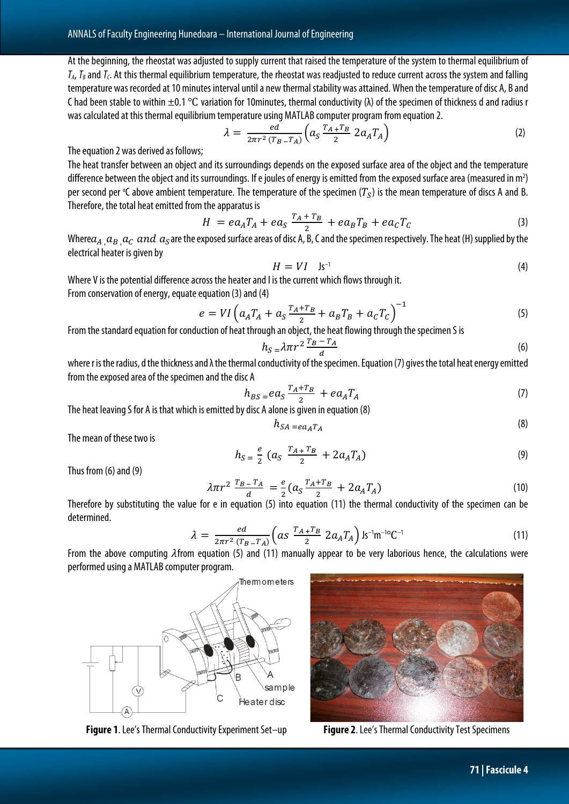At the beginning, the rheostat was adjusted to supply current that raised the temperature of the system to thermal equilibrium of  $T_A$ ,  $T_B$  and  $T_C$ . At this thermal equilibrium temperature, the rheostat was readjusted to reduce current across the system and falling temperature was recorded at 10 minutes interval until a new thermal stability was attained. When the temperature of disc A, B and C had been stable to within  $\pm 0.1$  °C variation for 10minutes, thermal conductivity ( $\lambda$ ) of the specimen of thickness d and radius r was calculated at this thermal equilibrium temperature using MATLAB computer program from equation 2.

$$
\lambda = \frac{ed}{2\pi r^2 (T_B - T_A)} \left( a_S \frac{T_A + T_B}{2} 2a_A T_A \right) \tag{2}
$$

The equation 2 was derived as follows;

The heat transfer between an object and its surroundings depends on the exposed surface area of the object and the temperature difference between the object and its surroundings. If e joules of energy is emitted from the exposed surface area (measured in m<sup>2</sup>) per second per °C above ambient temperature. The temperature of the specimen  $(T_S)$  is the mean temperature of discs A and B. Therefore, the total heat emitted from the apparatus is

$$
H = eaATA + eaS \frac{TA + TB}{2} + eaBTB + eaCTC
$$
\n(3)

Where  $a_A$  ,  $a_B$  ,  $a_C$  and  $a_S$ are the exposed surface areas of disc A, B, C and the specimen respectively. The heat (H) supplied by the electrical heater is given by

$$
H = VI \quad \text{Is}^{-1} \tag{4}
$$

Where V is the potential difference across the heater and I is the current which flows through it. From conservation of energy, equate equation (3) and (4)

$$
e = VI\left(a_A T_A + a_S \frac{T_A + T_B}{2} + a_B T_B + a_C T_C\right)^{-1}
$$
\n(5)

From the standard equation for conduction of heat through an object, the heat flowing through the specimen S is

$$
h_S = \lambda \pi r^2 \frac{T_B - T_A}{d} \tag{6}
$$

where r is the radius, d the thickness and λ the thermal conductivity of the specimen. Equation (7) gives the total heat energy emitted from the exposed area of the specimen and the disc A

$$
h_{BS} = ea_S \frac{T_A + T_B}{2} + ea_A T_A \tag{7}
$$

The heat leaving S for A is that which is emitted by disc A alone is given in equation (8)

$$
h_{SA} = e a_A T_A \tag{8}
$$

The mean of these two is

$$
h_{S} = \frac{e}{2} \left( a_{S} \frac{T_{A} + T_{B}}{2} + 2 a_{A} T_{A} \right) \tag{9}
$$

Thus from (6) and (9)

$$
\lambda \pi r^2 \frac{T_B - T_A}{d} = \frac{e}{2} (a_S \frac{T_A + T_B}{2} + 2a_A T_A)
$$
\n(10)  
\nTherefore by substituting the value for e in equation (5) into equation (11) the thermal conductivity of the specimen can be

determined.

$$
\lambda = \frac{ed}{2\pi r^2 (T_B - T_A)} \Big( as \frac{T_A + T_B}{2} 2a_A T_A \Big) 1 s^{-1} m^{-10} C^{-1}
$$
\n(11)

From the above computing  $\lambda$ from equation (5) and (11) manually appear to be very laborious hence, the calculations were performed using a MATLAB computer program.



**Figure 1**. Lee's Thermal Conductivity Experiment Set-up **Figure 2**. Lee's Thermal Conductivity Test Specimens

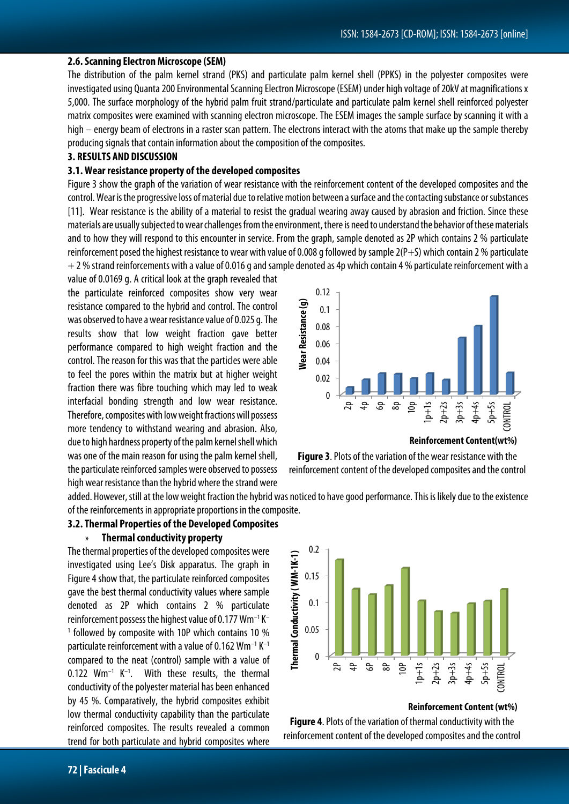#### **2.6. Scanning Electron Microscope (SEM)**

The distribution of the palm kernel strand (PKS) and particulate palm kernel shell (PPKS) in the polyester composites were investigated using Quanta 200 Environmental Scanning Electron Microscope (ESEM) under high voltage of 20kV at magnifications x 5,000. The surface morphology of the hybrid palm fruit strand/particulate and particulate palm kernel shell reinforced polyester matrix composites were examined with scanning electron microscope. The ESEM images the sample surface by scanning it with a high – energy beam of electrons in a raster scan pattern. The electrons interact with the atoms that make up the sample thereby producing signals that contain information about the composition of the composites.

#### **3. RESULTS AND DISCUSSION**

#### **3.1. Wear resistance property of the developed composites**

Figure 3 show the graph of the variation of wear resistance with the reinforcement content of the developed composites and the control. Wear is the progressive loss of material due to relative motion between a surface and the contacting substance or substances [11]. Wear resistance is the ability of a material to resist the gradual wearing away caused by abrasion and friction. Since these materials are usually subjected to wear challenges from the environment, there is need to understand the behavior of these materials and to how they will respond to this encounter in service. From the graph, sample denoted as 2P which contains 2 % particulate reinforcement posed the highest resistance to wear with value of 0.008 g followed by sample 2(P+S) which contain 2 % particulate  $+ 2$ % strand reinforcements with a value of 0.016 g and sample denoted as 4p which contain 4 % particulate reinforcement with a

value of 0.0169 g. A critical look at the graph revealed that the particulate reinforced composites show very wear resistance compared to the hybrid and control. The control was observed to have a wear resistance value of 0.025 g. The results show that low weight fraction gave better performance compared to high weight fraction and the control. The reason for this was that the particles were able to feel the pores within the matrix but at higher weight fraction there was fibre touching which may led to weak interfacial bonding strength and low wear resistance. Therefore, composites with low weight fractions will possess more tendency to withstand wearing and abrasion. Also, due to high hardness property of the palm kernel shell which was one of the main reason for using the palm kernel shell, the particulate reinforced samples were observed to possess high wear resistance than the hybrid where the strand were



**Reinforcement Content(wt%)**

**Figure 3**. Plots of the variation of the wear resistance with the

added. However, still at the low weight fraction the hybrid was noticed to have good performance. This is likely due to the existence of the reinforcements in appropriate proportions in the composite.

#### **3.2. Thermal Properties of the Developed Composites**

#### » **Thermal conductivity property**

The thermal properties of the developed composites were investigated using Lee's Disk apparatus. The graph in Figure 4 show that, the particulate reinforced composites gave the best thermal conductivity values where sample denoted as 2P which contains 2 % particulate reinforcement possess the highest value of 0.177 Wm–1 K– <sup>1</sup> followed by composite with 10P which contains 10 % particulate reinforcement with a value of 0.162  $Wm^{-1} K^{-1}$ compared to the neat (control) sample with a value of  $0.122$  Wm<sup>-1</sup> K<sup>-1</sup>. With these results, the thermal conductivity of the polyester material has been enhanced by 45 %. Comparatively, the hybrid composites exhibit low thermal conductivity capability than the particulate reinforced composites. The results revealed a common trend for both particulate and hybrid composites where

reinforcement content of the developed composites and the control



#### **Reinforcement Content (wt%)**

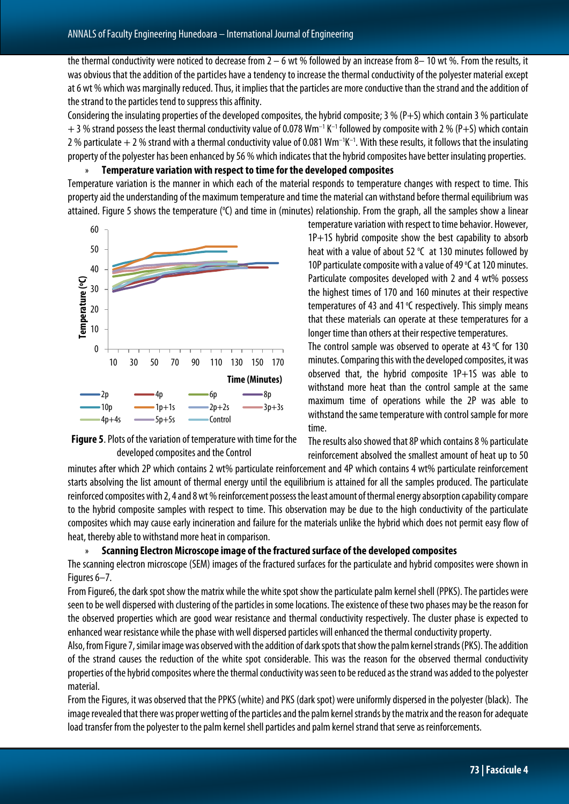the thermal conductivity were noticed to decrease from  $2 - 6$  wt % followed by an increase from 8– 10 wt %. From the results, it was obvious that the addition of the particles have a tendency to increase the thermal conductivity of the polyester material except at 6 wt % which was marginally reduced. Thus, it implies that the particles are more conductive than the strand and the addition of the strand to the particles tend to suppress this affinity.

Considering the insulating properties of the developed composites, the hybrid composite; 3 % (P+S) which contain 3 % particulate  $+$  3 % strand possess the least thermal conductivity value of 0.078 Wm<sup>-1</sup> K<sup>-1</sup> followed by composite with 2 % (P+S) which contain 2 % particulate  $+$  2 % strand with a thermal conductivity value of 0.081 Wm<sup>-1</sup>K<sup>-1</sup>. With these results, it follows that the insulating property of the polyester has been enhanced by 56 % which indicates that the hybrid composites have better insulating properties.

#### » **Temperature variation with respect to time for the developed composites**

Temperature variation is the manner in which each of the material responds to temperature changes with respect to time. This property aid the understanding of the maximum temperature and time the material can withstand before thermal equilibrium was attained. Figure 5 shows the temperature (°C) and time in (minutes) relationship. From the graph, all the samples show a linear





temperature variation with respect to time behavior. However, 1P+1S hybrid composite show the best capability to absorb heat with a value of about 52  $°C$  at 130 minutes followed by 10P particulate composite with a value of 49  $°C$  at 120 minutes. Particulate composites developed with 2 and 4 wt% possess the highest times of 170 and 160 minutes at their respective temperatures of 43 and 41  $°C$  respectively. This simply means that these materials can operate at these temperatures for a longer time than others at their respective temperatures.

The control sample was observed to operate at 43  $\degree$ C for 130 minutes. Comparing this with the developed composites, it was observed that, the hybrid composite 1P+1S was able to withstand more heat than the control sample at the same maximum time of operations while the 2P was able to withstand the same temperature with control sample for more time.

The results also showed that 8P which contains 8 % particulate reinforcement absolved the smallest amount of heat up to 50

minutes after which 2P which contains 2 wt% particulate reinforcement and 4P which contains 4 wt% particulate reinforcement starts absolving the list amount of thermal energy until the equilibrium is attained for all the samples produced. The particulate reinforced composites with 2, 4 and 8 wt % reinforcement possess the least amount of thermal energy absorption capability compare to the hybrid composite samples with respect to time. This observation may be due to the high conductivity of the particulate composites which may cause early incineration and failure for the materials unlike the hybrid which does not permit easy flow of heat, thereby able to withstand more heat in comparison.

#### » **Scanning Electron Microscope image of the fractured surface of the developed composites**

The scanning electron microscope (SEM) images of the fractured surfaces for the particulate and hybrid composites were shown in Figures 6–7.

From Figure6, the dark spot show the matrix while the white spot show the particulate palm kernel shell (PPKS). The particles were seen to be well dispersed with clustering of the particles in some locations. The existence of these two phases may be the reason for the observed properties which are good wear resistance and thermal conductivity respectively. The cluster phase is expected to enhanced wear resistance while the phase with well dispersed particles will enhanced the thermal conductivity property.

Also, from Figure 7, similar image was observed with the addition of dark spots that show the palm kernel strands (PKS). The addition of the strand causes the reduction of the white spot considerable. This was the reason for the observed thermal conductivity properties of the hybrid composites where the thermal conductivity was seen to be reduced as the strand was added to the polyester material.

From the Figures, it was observed that the PPKS (white) and PKS (dark spot) were uniformly dispersed in the polyester (black). The image revealed that there was proper wetting of the particles and the palm kernel strands by the matrix and the reason for adequate load transfer from the polyester to the palm kernel shell particles and palm kernel strand that serve as reinforcements.